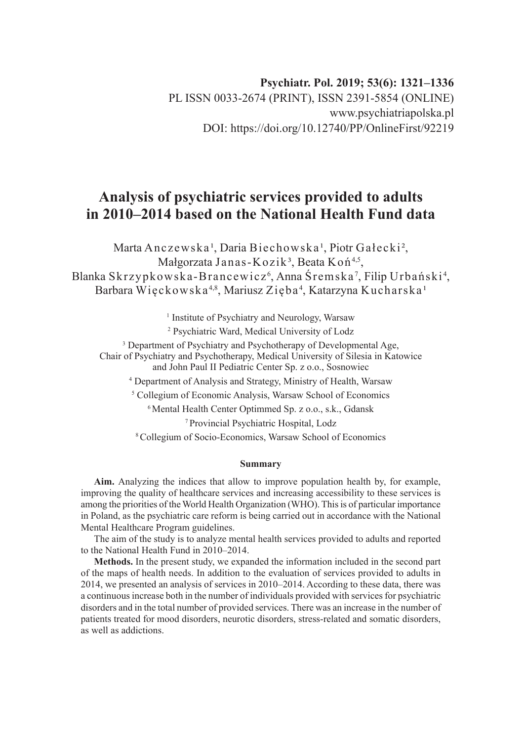# **Analysis of psychiatric services provided to adults in 2010–2014 based on the National Health Fund data**

Marta Anczewska<sup>1</sup>, Daria Biechowska<sup>1</sup>, Piotr Gałecki<sup>2</sup>, Małgorzata Janas-Kozik<sup>3</sup>, Beata Koń<sup>4,5</sup>, Blanka Skrzypkowska-Brancewicz', Anna Sremska', Filip Urbański<sup>4</sup>, Barbara Więckowska $^{4,8},$  Mariusz Zięba $^4,$  Katarzyna Kucharska $^{\scriptscriptstyle 1}$ 

<sup>1</sup> Institute of Psychiatry and Neurology, Warsaw

2 Psychiatric Ward, Medical University of Lodz

<sup>3</sup> Department of Psychiatry and Psychotherapy of Developmental Age, Chair of Psychiatry and Psychotherapy, Medical University of Silesia in Katowice and John Paul II Pediatric Center Sp. z o.o., Sosnowiec

4 Department of Analysis and Strategy, Ministry of Health, Warsaw

5 Collegium of Economic Analysis, Warsaw School of Economics

<sup>6</sup> Mental Health Center Optimmed Sp. z o.o., s.k., Gdansk

<sup>7</sup>Provincial Psychiatric Hospital, Lodz

<sup>8</sup>Collegium of Socio-Economics, Warsaw School of Economics

#### **Summary**

**Aim.** Analyzing the indices that allow to improve population health by, for example, improving the quality of healthcare services and increasing accessibility to these services is among the priorities of the World Health Organization (WHO). This is of particular importance in Poland, as the psychiatric care reform is being carried out in accordance with the National Mental Healthcare Program guidelines.

The aim of the study is to analyze mental health services provided to adults and reported to the National Health Fund in 2010–2014.

**Methods.** In the present study, we expanded the information included in the second part of the maps of health needs. In addition to the evaluation of services provided to adults in 2014, we presented an analysis of services in 2010–2014. According to these data, there was a continuous increase both in the number of individuals provided with services for psychiatric disorders and in the total number of provided services. There was an increase in the number of patients treated for mood disorders, neurotic disorders, stress-related and somatic disorders, as well as addictions.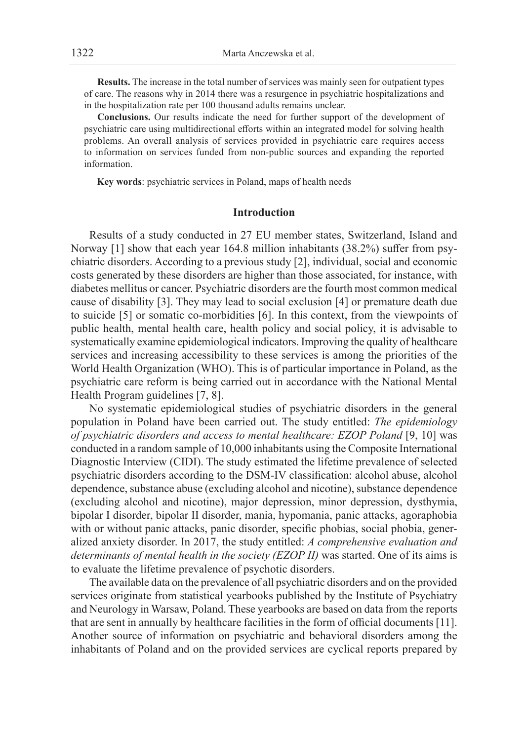**Results.** The increase in the total number of services was mainly seen for outpatient types of care. The reasons why in 2014 there was a resurgence in psychiatric hospitalizations and in the hospitalization rate per 100 thousand adults remains unclear.

**Conclusions.** Our results indicate the need for further support of the development of psychiatric care using multidirectional efforts within an integrated model for solving health problems. An overall analysis of services provided in psychiatric care requires access to information on services funded from non-public sources and expanding the reported information.

**Key words**: psychiatric services in Poland, maps of health needs

### **Introduction**

Results of a study conducted in 27 EU member states, Switzerland, Island and Norway [1] show that each year 164.8 million inhabitants (38.2%) suffer from psychiatric disorders. According to a previous study [2], individual, social and economic costs generated by these disorders are higher than those associated, for instance, with diabetes mellitus or cancer. Psychiatric disorders are the fourth most common medical cause of disability [3]. They may lead to social exclusion [4] or premature death due to suicide [5] or somatic co-morbidities [6]. In this context, from the viewpoints of public health, mental health care, health policy and social policy, it is advisable to systematically examine epidemiological indicators. Improving the quality of healthcare services and increasing accessibility to these services is among the priorities of the World Health Organization (WHO). This is of particular importance in Poland, as the psychiatric care reform is being carried out in accordance with the National Mental Health Program guidelines [7, 8].

No systematic epidemiological studies of psychiatric disorders in the general population in Poland have been carried out. The study entitled: *The epidemiology of psychiatric disorders and access to mental healthcare: EZOP Poland* [9, 10] was conducted in a random sample of 10,000 inhabitants using the Composite International Diagnostic Interview (CIDI). The study estimated the lifetime prevalence of selected psychiatric disorders according to the DSM-IV classification: alcohol abuse, alcohol dependence, substance abuse (excluding alcohol and nicotine), substance dependence (excluding alcohol and nicotine), major depression, minor depression, dysthymia, bipolar I disorder, bipolar II disorder, mania, hypomania, panic attacks, agoraphobia with or without panic attacks, panic disorder, specific phobias, social phobia, generalized anxiety disorder. In 2017, the study entitled: *A comprehensive evaluation and determinants of mental health in the society (EZOP II)* was started. One of its aims is to evaluate the lifetime prevalence of psychotic disorders.

The available data on the prevalence of all psychiatric disorders and on the provided services originate from statistical yearbooks published by the Institute of Psychiatry and Neurology in Warsaw, Poland. These yearbooks are based on data from the reports that are sent in annually by healthcare facilities in the form of official documents [11]. Another source of information on psychiatric and behavioral disorders among the inhabitants of Poland and on the provided services are cyclical reports prepared by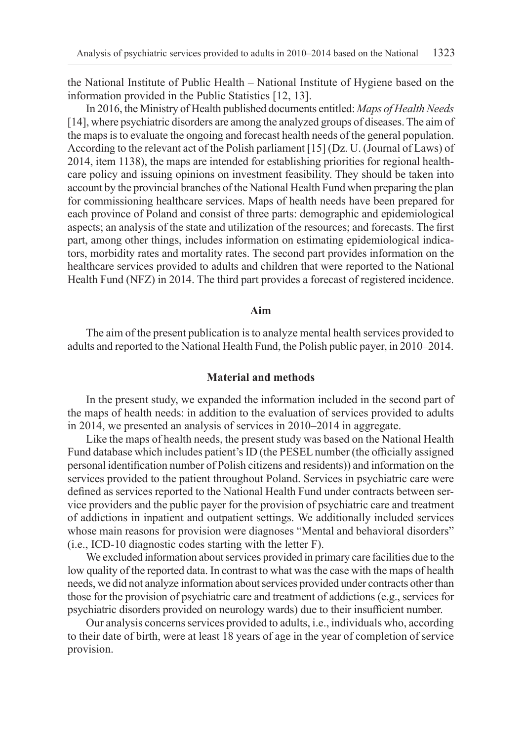the National Institute of Public Health – National Institute of Hygiene based on the information provided in the Public Statistics [12, 13].

In 2016, the Ministry of Health published documents entitled: *Maps of Health Needs* [14], where psychiatric disorders are among the analyzed groups of diseases. The aim of the maps is to evaluate the ongoing and forecast health needs of the general population. According to the relevant act of the Polish parliament [15] (Dz. U. (Journal of Laws) of 2014, item 1138), the maps are intended for establishing priorities for regional healthcare policy and issuing opinions on investment feasibility. They should be taken into account by the provincial branches of the National Health Fund when preparing the plan for commissioning healthcare services. Maps of health needs have been prepared for each province of Poland and consist of three parts: demographic and epidemiological aspects; an analysis of the state and utilization of the resources; and forecasts. The first part, among other things, includes information on estimating epidemiological indicators, morbidity rates and mortality rates. The second part provides information on the healthcare services provided to adults and children that were reported to the National Health Fund (NFZ) in 2014. The third part provides a forecast of registered incidence.

#### **Aim**

The aim of the present publication is to analyze mental health services provided to adults and reported to the National Health Fund, the Polish public payer, in 2010–2014.

# **Material and methods**

In the present study, we expanded the information included in the second part of the maps of health needs: in addition to the evaluation of services provided to adults in 2014, we presented an analysis of services in 2010–2014 in aggregate.

Like the maps of health needs, the present study was based on the National Health Fund database which includes patient's ID (the PESEL number (the officially assigned personal identification number of Polish citizens and residents)) and information on the services provided to the patient throughout Poland. Services in psychiatric care were defined as services reported to the National Health Fund under contracts between service providers and the public payer for the provision of psychiatric care and treatment of addictions in inpatient and outpatient settings. We additionally included services whose main reasons for provision were diagnoses "Mental and behavioral disorders" (i.e., ICD-10 diagnostic codes starting with the letter F).

We excluded information about services provided in primary care facilities due to the low quality of the reported data. In contrast to what was the case with the maps of health needs, we did not analyze information about services provided under contracts other than those for the provision of psychiatric care and treatment of addictions (e.g., services for psychiatric disorders provided on neurology wards) due to their insufficient number.

Our analysis concerns services provided to adults, i.e., individuals who, according to their date of birth, were at least 18 years of age in the year of completion of service provision.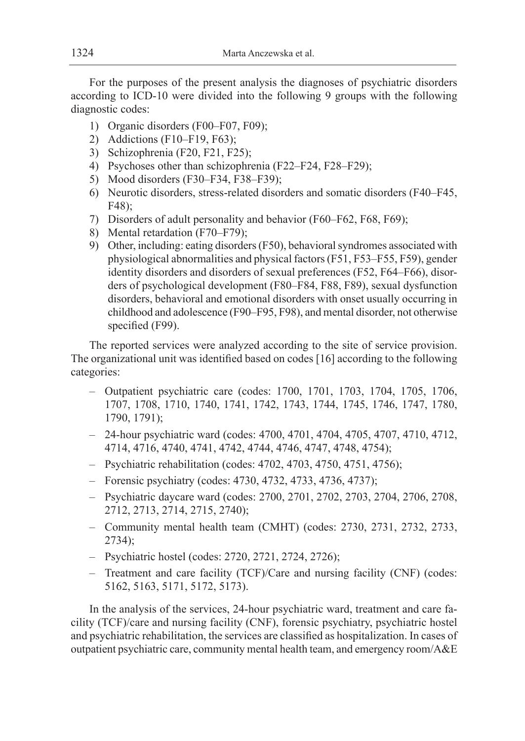For the purposes of the present analysis the diagnoses of psychiatric disorders according to ICD-10 were divided into the following 9 groups with the following diagnostic codes:

- 1) Organic disorders (F00–F07, F09);
- 2) Addictions (F10–F19, F63);
- 3) Schizophrenia (F20, F21, F25);
- 4) Psychoses other than schizophrenia (F22–F24, F28–F29);
- 5) Mood disorders (F30–F34, F38–F39);
- 6) Neurotic disorders, stress-related disorders and somatic disorders (F40–F45, F48);
- 7) Disorders of adult personality and behavior (F60–F62, F68, F69);
- 8) Mental retardation (F70–F79);
- 9) Other, including: eating disorders (F50), behavioral syndromes associated with physiological abnormalities and physical factors (F51, F53–F55, F59), gender identity disorders and disorders of sexual preferences (F52, F64–F66), disorders of psychological development (F80–F84, F88, F89), sexual dysfunction disorders, behavioral and emotional disorders with onset usually occurring in childhood and adolescence (F90–F95, F98), and mental disorder, not otherwise specified (F99).

The reported services were analyzed according to the site of service provision. The organizational unit was identified based on codes [16] according to the following categories:

- Outpatient psychiatric care (codes: 1700, 1701, 1703, 1704, 1705, 1706, 1707, 1708, 1710, 1740, 1741, 1742, 1743, 1744, 1745, 1746, 1747, 1780, 1790, 1791);
- 24-hour psychiatric ward (codes: 4700, 4701, 4704, 4705, 4707, 4710, 4712, 4714, 4716, 4740, 4741, 4742, 4744, 4746, 4747, 4748, 4754);
- Psychiatric rehabilitation (codes: 4702, 4703, 4750, 4751, 4756);
- Forensic psychiatry (codes: 4730, 4732, 4733, 4736, 4737);
- Psychiatric daycare ward (codes: 2700, 2701, 2702, 2703, 2704, 2706, 2708, 2712, 2713, 2714, 2715, 2740);
- Community mental health team (CMHT) (codes: 2730, 2731, 2732, 2733, 2734);
- Psychiatric hostel (codes: 2720, 2721, 2724, 2726);
- Treatment and care facility (TCF)/Care and nursing facility (CNF) (codes: 5162, 5163, 5171, 5172, 5173).

In the analysis of the services, 24-hour psychiatric ward, treatment and care facility (TCF)/care and nursing facility (CNF), forensic psychiatry, psychiatric hostel and psychiatric rehabilitation, the services are classified as hospitalization. In cases of outpatient psychiatric care, community mental health team, and emergency room/A&E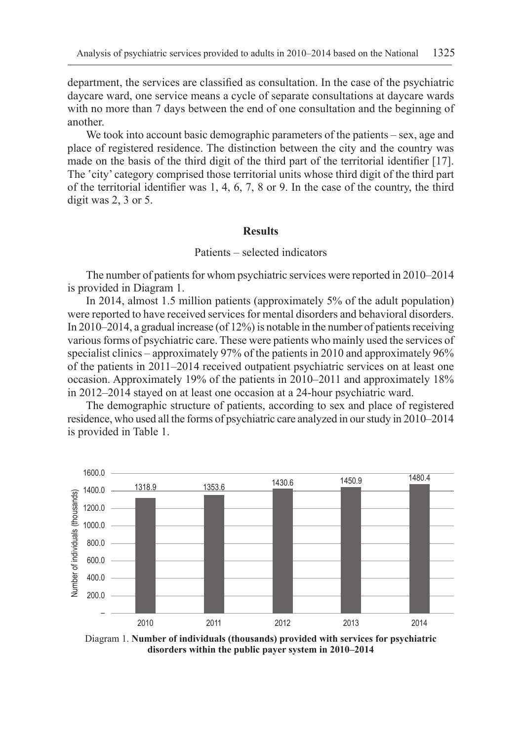department, the services are classified as consultation. In the case of the psychiatric daycare ward, one service means a cycle of separate consultations at daycare wards with no more than 7 days between the end of one consultation and the beginning of another.

We took into account basic demographic parameters of the patients – sex, age and place of registered residence. The distinction between the city and the country was made on the basis of the third digit of the third part of the territorial identifier [17]. The 'city' category comprised those territorial units whose third digit of the third part of the territorial identifier was 1, 4, 6, 7, 8 or 9. In the case of the country, the third digit was 2, 3 or 5.

#### **Results**

#### Patients – selected indicators

The number of patients for whom psychiatric services were reported in 2010–2014 is provided in Diagram 1.

In 2014, almost 1.5 million patients (approximately 5% of the adult population) were reported to have received services for mental disorders and behavioral disorders. In 2010–2014, a gradual increase (of 12%) is notable in the number of patients receiving various forms of psychiatric care. These were patients who mainly used the services of specialist clinics – approximately 97% of the patients in 2010 and approximately 96% of the patients in 2011–2014 received outpatient psychiatric services on at least one occasion. Approximately 19% of the patients in 2010–2011 and approximately 18% in 2012–2014 stayed on at least one occasion at a 24-hour psychiatric ward.

The demographic structure of patients, according to sex and place of registered residence, who used all the forms of psychiatric care analyzed in our study in 2010–2014 is provided in Table 1.



Diagram 1. **Number of individuals (thousands) provided with services for psychiatric disorders within the public payer system in 2010–2014**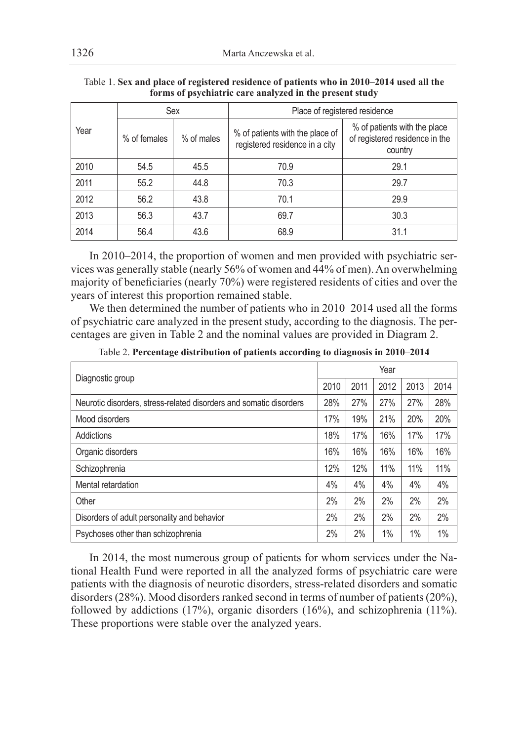|      |              | Sex        | Place of registered residence                                     |                                                                           |  |  |  |  |
|------|--------------|------------|-------------------------------------------------------------------|---------------------------------------------------------------------------|--|--|--|--|
| Year | % of females | % of males | % of patients with the place of<br>registered residence in a city | % of patients with the place<br>of registered residence in the<br>country |  |  |  |  |
| 2010 | 54.5         | 45.5       | 70.9                                                              | 29.1                                                                      |  |  |  |  |
| 2011 | 55.2         | 44.8       | 70.3                                                              | 29.7                                                                      |  |  |  |  |
| 2012 | 56.2         | 43.8       | 70.1                                                              | 29.9                                                                      |  |  |  |  |
| 2013 | 56.3         | 43.7       | 69.7                                                              | 30.3                                                                      |  |  |  |  |
| 2014 | 56.4         | 43.6       | 68.9                                                              | 31.1                                                                      |  |  |  |  |

Table 1. **Sex and place of registered residence of patients who in 2010–2014 used all the forms of psychiatric care analyzed in the present study**

In 2010–2014, the proportion of women and men provided with psychiatric services was generally stable (nearly 56% of women and 44% of men). An overwhelming majority of beneficiaries (nearly 70%) were registered residents of cities and over the years of interest this proportion remained stable.

We then determined the number of patients who in 2010–2014 used all the forms of psychiatric care analyzed in the present study, according to the diagnosis. The percentages are given in Table 2 and the nominal values are provided in Diagram 2.

| Diagnostic group                                                   |      | Year |      |      |      |  |  |  |
|--------------------------------------------------------------------|------|------|------|------|------|--|--|--|
|                                                                    | 2010 | 2011 | 2012 | 2013 | 2014 |  |  |  |
| Neurotic disorders, stress-related disorders and somatic disorders | 28%  | 27%  | 27%  | 27%  | 28%  |  |  |  |
| Mood disorders                                                     | 17%  | 19%  | 21%  | 20%  | 20%  |  |  |  |
| Addictions                                                         | 18%  | 17%  | 16%  | 17%  | 17%  |  |  |  |
| Organic disorders                                                  | 16%  | 16%  | 16%  | 16%  | 16%  |  |  |  |
| Schizophrenia                                                      | 12%  | 12%  | 11%  | 11%  | 11%  |  |  |  |
| Mental retardation                                                 | 4%   | 4%   | 4%   | 4%   | 4%   |  |  |  |
| Other                                                              | 2%   | 2%   | 2%   | 2%   | 2%   |  |  |  |
| Disorders of adult personality and behavior                        | 2%   | 2%   | 2%   | 2%   | 2%   |  |  |  |
| Psychoses other than schizophrenia                                 | 2%   | 2%   | 1%   | 1%   | 1%   |  |  |  |

Table 2. **Percentage distribution of patients according to diagnosis in 2010–2014**

In 2014, the most numerous group of patients for whom services under the National Health Fund were reported in all the analyzed forms of psychiatric care were patients with the diagnosis of neurotic disorders, stress-related disorders and somatic disorders (28%). Mood disorders ranked second in terms of number of patients (20%), followed by addictions (17%), organic disorders (16%), and schizophrenia (11%). These proportions were stable over the analyzed years.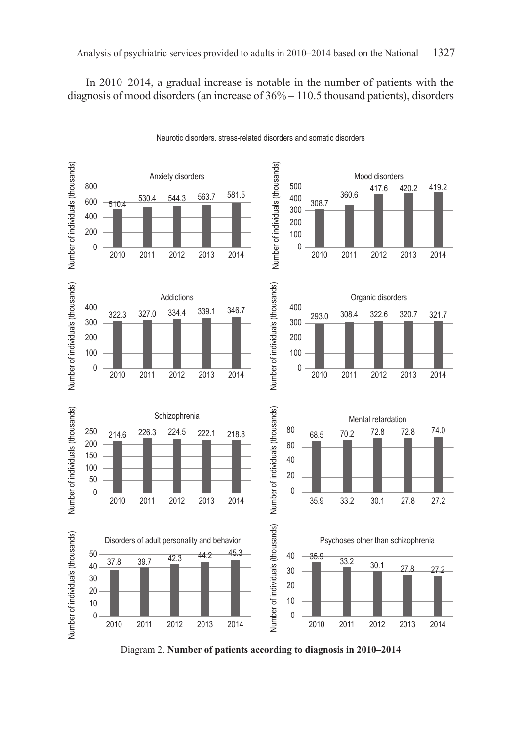In 2010–2014, a gradual increase is notable in the number of patients with the diagnosis of mood disorders (an increase of 36% – 110.5 thousand patients), disorders



Neurotic disorders. stress-related disorders and somatic disorders

Diagram 2. **Number of patients according to diagnosis in 2010–2014**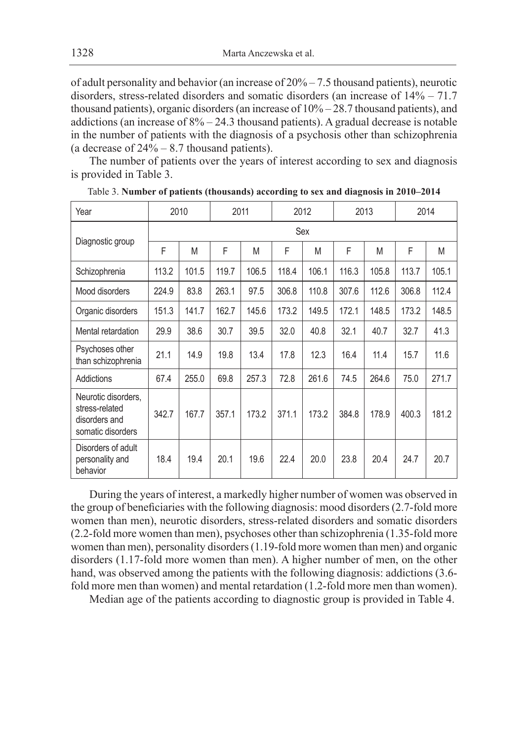of adult personality and behavior (an increase of 20% – 7.5 thousand patients), neurotic disorders, stress-related disorders and somatic disorders (an increase of 14% – 71.7 thousand patients), organic disorders (an increase of 10% – 28.7 thousand patients), and addictions (an increase of  $8\% - 24.3$  thousand patients). A gradual decrease is notable in the number of patients with the diagnosis of a psychosis other than schizophrenia (a decrease of 24% – 8.7 thousand patients).

The number of patients over the years of interest according to sex and diagnosis is provided in Table 3.

| Year                                                                        |       | 2010  | 2011  |       | 2012  |       | 2013  |       | 2014  |       |  |
|-----------------------------------------------------------------------------|-------|-------|-------|-------|-------|-------|-------|-------|-------|-------|--|
|                                                                             | Sex   |       |       |       |       |       |       |       |       |       |  |
| Diagnostic group                                                            | F     | M     | F     | M     | F     | M     | F     | M     | F     | M     |  |
| Schizophrenia                                                               | 113.2 | 101.5 | 119.7 | 106.5 | 118.4 | 106.1 | 116.3 | 105.8 | 113.7 | 105.1 |  |
| Mood disorders                                                              | 224.9 | 83.8  | 263.1 | 97.5  | 306.8 | 110.8 | 307.6 | 112.6 | 306.8 | 112.4 |  |
| Organic disorders                                                           | 151.3 | 141.7 | 162.7 | 145.6 | 173.2 | 149.5 | 172.1 | 148.5 | 173.2 | 148.5 |  |
| Mental retardation                                                          | 29.9  | 38.6  | 30.7  | 39.5  | 32.0  | 40.8  | 32.1  | 40.7  | 32.7  | 41.3  |  |
| Psychoses other<br>than schizophrenia                                       | 21.1  | 14.9  | 19.8  | 13.4  | 17.8  | 12.3  | 16.4  | 11.4  | 15.7  | 11.6  |  |
| Addictions                                                                  | 67.4  | 255.0 | 69.8  | 257.3 | 72.8  | 261.6 | 74.5  | 264.6 | 75.0  | 271.7 |  |
| Neurotic disorders,<br>stress-related<br>disorders and<br>somatic disorders | 342.7 | 167.7 | 357.1 | 173.2 | 371.1 | 173.2 | 384.8 | 178.9 | 400.3 | 181.2 |  |
| Disorders of adult<br>personality and<br>behavior                           | 18.4  | 19.4  | 20.1  | 19.6  | 22.4  | 20.0  | 23.8  | 20.4  | 24.7  | 20.7  |  |

Table 3. **Number of patients (thousands) according to sex and diagnosis in 2010–2014**

During the years of interest, a markedly higher number of women was observed in the group of beneficiaries with the following diagnosis: mood disorders (2.7-fold more women than men), neurotic disorders, stress-related disorders and somatic disorders (2.2-fold more women than men), psychoses other than schizophrenia (1.35-fold more women than men), personality disorders (1.19-fold more women than men) and organic disorders (1.17-fold more women than men). A higher number of men, on the other hand, was observed among the patients with the following diagnosis: addictions (3.6 fold more men than women) and mental retardation (1.2-fold more men than women).

Median age of the patients according to diagnostic group is provided in Table 4.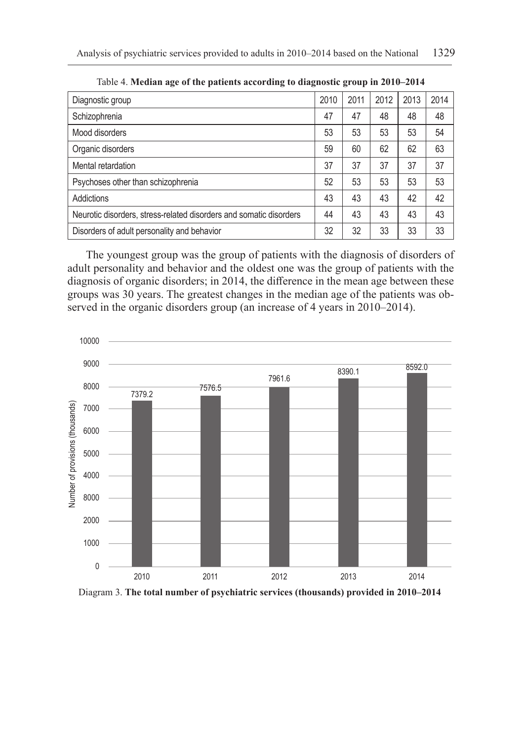| -<br>-                                                             |      |      |      |      |      |
|--------------------------------------------------------------------|------|------|------|------|------|
| Diagnostic group                                                   | 2010 | 2011 | 2012 | 2013 | 2014 |
| Schizophrenia                                                      | 47   | 47   | 48   | 48   | 48   |
| Mood disorders                                                     | 53   | 53   | 53   | 53   | 54   |
| Organic disorders                                                  | 59   | 60   | 62   | 62   | 63   |
| Mental retardation                                                 | 37   | 37   | 37   | 37   | 37   |
| Psychoses other than schizophrenia                                 | 52   | 53   | 53   | 53   | 53   |
| Addictions                                                         | 43   | 43   | 43   | 42   | 42   |
| Neurotic disorders, stress-related disorders and somatic disorders | 44   | 43   | 43   | 43   | 43   |
| Disorders of adult personality and behavior                        | 32   | 32   | 33   | 33   | 33   |
|                                                                    |      |      |      |      |      |

Table 4. **Median age of the patients according to diagnostic group in 2010–2014**

The youngest group was the group of patients with the diagnosis of disorders of adult personality and behavior and the oldest one was the group of patients with the diagnosis of organic disorders; in 2014, the difference in the mean age between these groups was 30 years. The greatest changes in the median age of the patients was observed in the organic disorders group (an increase of 4 years in 2010–2014).



Diagram 3. **The total number of psychiatric services (thousands) provided in 2010–2014**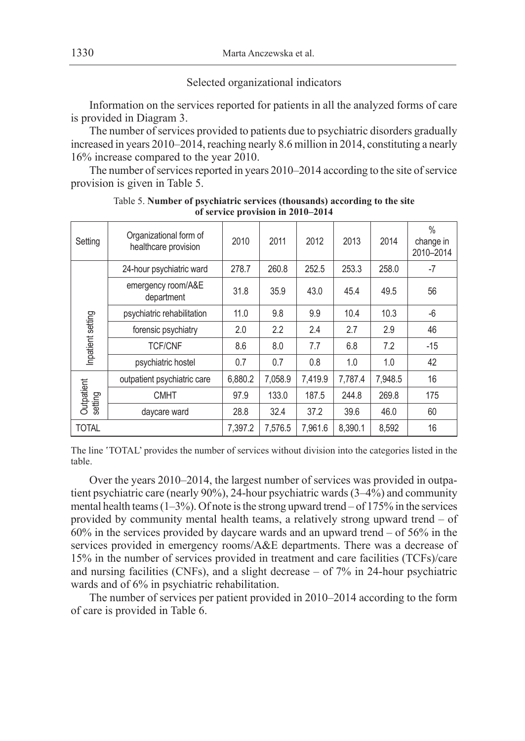#### Selected organizational indicators

Information on the services reported for patients in all the analyzed forms of care is provided in Diagram 3.

The number of services provided to patients due to psychiatric disorders gradually increased in years 2010–2014, reaching nearly 8.6 million in 2014, constituting a nearly 16% increase compared to the year 2010.

The number of services reported in years 2010–2014 according to the site of service provision is given in Table 5.

| Setting               | Organizational form of<br>healthcare provision | 2010    | 2011    | 2012    | 2013    | 2014    | $\%$<br>change in<br>2010-2014 |
|-----------------------|------------------------------------------------|---------|---------|---------|---------|---------|--------------------------------|
|                       | 24-hour psychiatric ward                       | 278.7   | 260.8   | 252.5   | 253.3   | 258.0   | $-7$                           |
| Inpatient setting     | emergency room/A&E<br>department               | 31.8    | 35.9    | 43.0    | 45.4    | 49.5    | 56                             |
|                       | psychiatric rehabilitation                     | 11.0    | 9.8     | 9.9     | 10.4    | 10.3    | $-6$                           |
|                       | forensic psychiatry                            | 2.0     | 2.2     | 2.4     | 2.7     | 2.9     | 46                             |
|                       | <b>TCF/CNF</b>                                 | 8.6     | 8.0     | 7.7     | 6.8     | 7.2     | $-15$                          |
|                       | psychiatric hostel                             | 0.7     | 0.7     | 0.8     | 1.0     | 1.0     | 42                             |
|                       | outpatient psychiatric care                    | 6.880.2 | 7,058.9 | 7,419.9 | 7,787.4 | 7,948.5 | 16                             |
| Outpatient<br>setting | <b>CMHT</b>                                    | 97.9    | 133.0   | 187.5   | 244.8   | 269.8   | 175                            |
|                       | daycare ward                                   | 28.8    | 32.4    | 37.2    | 39.6    | 46.0    | 60                             |
| <b>TOTAL</b>          |                                                | 7.397.2 | 7.576.5 | 7.961.6 | 8.390.1 | 8.592   | 16                             |

Table 5. **Number of psychiatric services (thousands) according to the site of service provision in 2010–2014**

The line 'TOTAL' provides the number of services without division into the categories listed in the table.

Over the years 2010–2014, the largest number of services was provided in outpatient psychiatric care (nearly 90%), 24-hour psychiatric wards (3–4%) and community mental health teams  $(1-3\%)$ . Of note is the strong upward trend  $-$  of 175% in the services provided by community mental health teams, a relatively strong upward trend – of 60% in the services provided by daycare wards and an upward trend – of 56% in the services provided in emergency rooms/A&E departments. There was a decrease of 15% in the number of services provided in treatment and care facilities (TCFs)/care and nursing facilities (CNFs), and a slight decrease – of 7% in 24-hour psychiatric wards and of 6% in psychiatric rehabilitation.

The number of services per patient provided in 2010–2014 according to the form of care is provided in Table 6.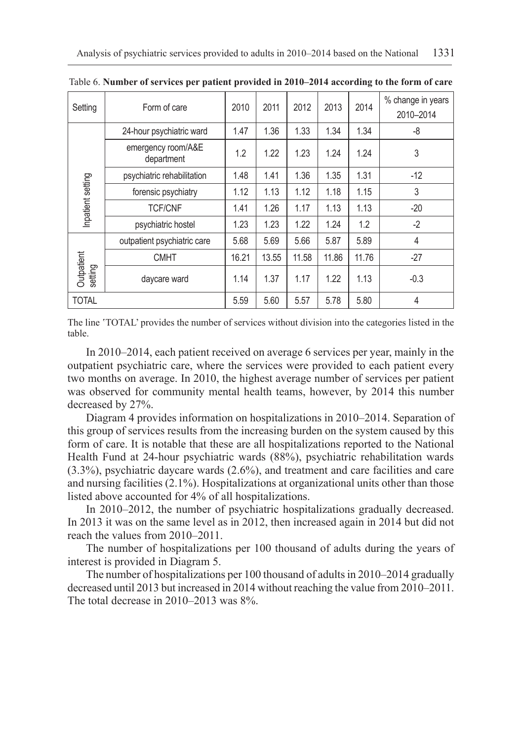| Setting               | Form of care                     | 2010  | 2011  | 2012  | 2013  | 2014  | % change in years<br>2010-2014 |
|-----------------------|----------------------------------|-------|-------|-------|-------|-------|--------------------------------|
|                       | 24-hour psychiatric ward         |       | 1.36  | 1.33  | 1.34  | 1.34  | -8                             |
|                       | emergency room/A&E<br>department | 1.2   | 1.22  | 1.23  | 1.24  | 1.24  | 3                              |
|                       | psychiatric rehabilitation       | 1.48  | 1.41  | 1.36  | 1.35  | 1.31  | $-12$                          |
| Inpatient setting     | forensic psychiatry              | 1.12  | 1.13  | 1.12  | 1.18  | 1.15  | 3                              |
|                       | <b>TCF/CNF</b>                   | 1.41  | 1.26  | 1.17  | 1.13  | 1.13  | $-20$                          |
|                       | psychiatric hostel               | 1.23  | 1.23  | 1.22  | 1.24  | 1.2   | $-2$                           |
|                       | outpatient psychiatric care      | 5.68  | 5.69  | 5.66  | 5.87  | 5.89  | 4                              |
| Outpatient<br>setting | <b>CMHT</b>                      | 16.21 | 13.55 | 11.58 | 11.86 | 11.76 | $-27$                          |
|                       | daycare ward                     | 1.14  | 1.37  | 1.17  | 1.22  | 1.13  | $-0.3$                         |
| <b>TOTAL</b>          |                                  | 5.59  | 5.60  | 5.57  | 5.78  | 5.80  | 4                              |

Table 6. **Number of services per patient provided in 2010–2014 according to the form of care**

The line 'TOTAL' provides the number of services without division into the categories listed in the table.

In 2010–2014, each patient received on average 6 services per year, mainly in the outpatient psychiatric care, where the services were provided to each patient every two months on average. In 2010, the highest average number of services per patient was observed for community mental health teams, however, by 2014 this number decreased by 27%.

Diagram 4 provides information on hospitalizations in 2010–2014. Separation of this group of services results from the increasing burden on the system caused by this form of care. It is notable that these are all hospitalizations reported to the National Health Fund at 24-hour psychiatric wards (88%), psychiatric rehabilitation wards (3.3%), psychiatric daycare wards (2.6%), and treatment and care facilities and care and nursing facilities (2.1%). Hospitalizations at organizational units other than those listed above accounted for 4% of all hospitalizations.

In 2010–2012, the number of psychiatric hospitalizations gradually decreased. In 2013 it was on the same level as in 2012, then increased again in 2014 but did not reach the values from 2010–2011.

The number of hospitalizations per 100 thousand of adults during the years of interest is provided in Diagram 5.

The number of hospitalizations per 100 thousand of adults in 2010–2014 gradually decreased until 2013 but increased in 2014 without reaching the value from 2010–2011. The total decrease in 2010–2013 was 8%.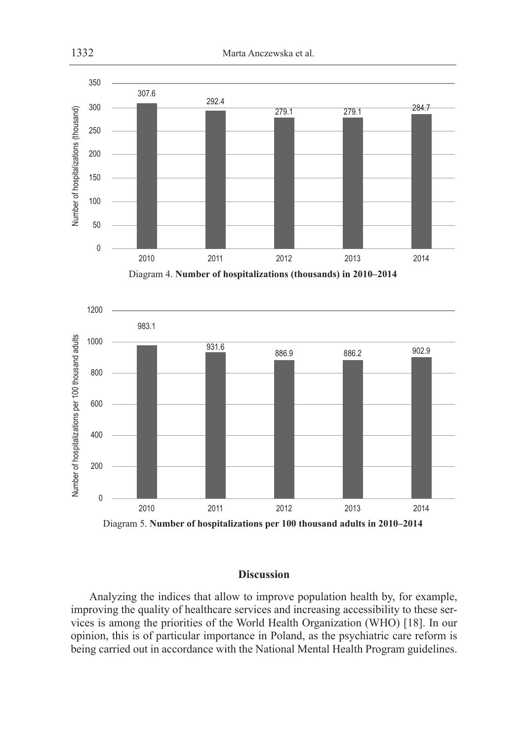

Diagram 4. **Number of hospitalizations (thousands) in 2010–2014**





# **Discussion**

Analyzing the indices that allow to improve population health by, for example, improving the quality of healthcare services and increasing accessibility to these services is among the priorities of the World Health Organization (WHO) [18]. In our opinion, this is of particular importance in Poland, as the psychiatric care reform is being carried out in accordance with the National Mental Health Program guidelines.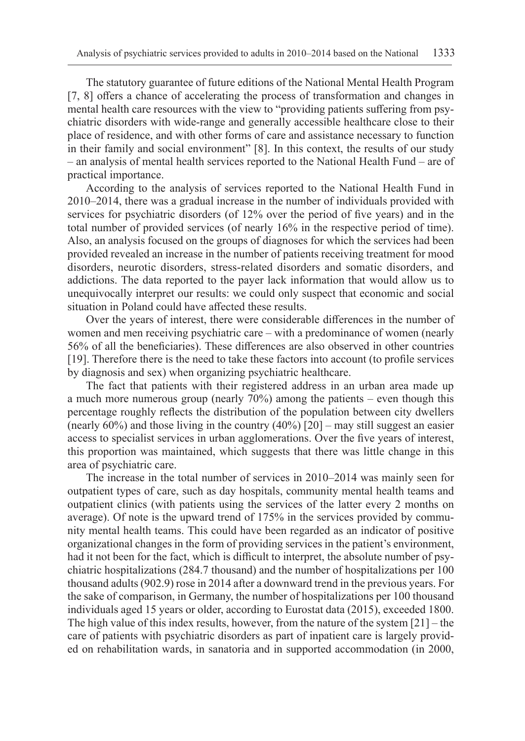The statutory guarantee of future editions of the National Mental Health Program [7, 8] offers a chance of accelerating the process of transformation and changes in mental health care resources with the view to "providing patients suffering from psychiatric disorders with wide-range and generally accessible healthcare close to their place of residence, and with other forms of care and assistance necessary to function in their family and social environment" [8]. In this context, the results of our study – an analysis of mental health services reported to the National Health Fund – are of practical importance.

According to the analysis of services reported to the National Health Fund in 2010–2014, there was a gradual increase in the number of individuals provided with services for psychiatric disorders (of 12% over the period of five years) and in the total number of provided services (of nearly 16% in the respective period of time). Also, an analysis focused on the groups of diagnoses for which the services had been provided revealed an increase in the number of patients receiving treatment for mood disorders, neurotic disorders, stress-related disorders and somatic disorders, and addictions. The data reported to the payer lack information that would allow us to unequivocally interpret our results: we could only suspect that economic and social situation in Poland could have affected these results.

Over the years of interest, there were considerable differences in the number of women and men receiving psychiatric care – with a predominance of women (nearly 56% of all the beneficiaries). These differences are also observed in other countries [19]. Therefore there is the need to take these factors into account (to profile services by diagnosis and sex) when organizing psychiatric healthcare.

The fact that patients with their registered address in an urban area made up a much more numerous group (nearly 70%) among the patients – even though this percentage roughly reflects the distribution of the population between city dwellers (nearly 60%) and those living in the country (40%) [20] – may still suggest an easier access to specialist services in urban agglomerations. Over the five years of interest, this proportion was maintained, which suggests that there was little change in this area of psychiatric care.

The increase in the total number of services in 2010–2014 was mainly seen for outpatient types of care, such as day hospitals, community mental health teams and outpatient clinics (with patients using the services of the latter every 2 months on average). Of note is the upward trend of 175% in the services provided by community mental health teams. This could have been regarded as an indicator of positive organizational changes in the form of providing services in the patient's environment, had it not been for the fact, which is difficult to interpret, the absolute number of psychiatric hospitalizations (284.7 thousand) and the number of hospitalizations per 100 thousand adults (902.9) rose in 2014 after a downward trend in the previous years. For the sake of comparison, in Germany, the number of hospitalizations per 100 thousand individuals aged 15 years or older, according to Eurostat data (2015), exceeded 1800. The high value of this index results, however, from the nature of the system  $[21]$  – the care of patients with psychiatric disorders as part of inpatient care is largely provided on rehabilitation wards, in sanatoria and in supported accommodation (in 2000,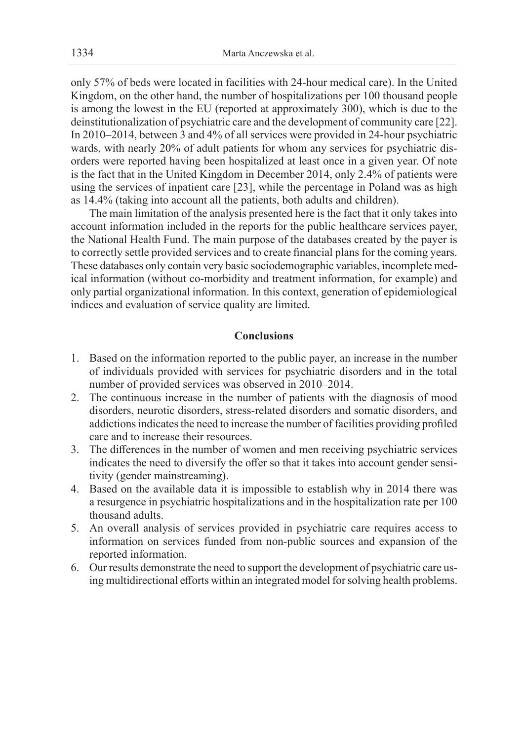only 57% of beds were located in facilities with 24-hour medical care). In the United Kingdom, on the other hand, the number of hospitalizations per 100 thousand people is among the lowest in the EU (reported at approximately 300), which is due to the deinstitutionalization of psychiatric care and the development of community care [22]. In 2010–2014, between 3 and 4% of all services were provided in 24-hour psychiatric wards, with nearly 20% of adult patients for whom any services for psychiatric disorders were reported having been hospitalized at least once in a given year. Of note is the fact that in the United Kingdom in December 2014, only 2.4% of patients were using the services of inpatient care [23], while the percentage in Poland was as high as 14.4% (taking into account all the patients, both adults and children).

The main limitation of the analysis presented here is the fact that it only takes into account information included in the reports for the public healthcare services payer, the National Health Fund. The main purpose of the databases created by the payer is to correctly settle provided services and to create financial plans for the coming years. These databases only contain very basic sociodemographic variables, incomplete medical information (without co-morbidity and treatment information, for example) and only partial organizational information. In this context, generation of epidemiological indices and evaluation of service quality are limited.

## **Conclusions**

- 1. Based on the information reported to the public payer, an increase in the number of individuals provided with services for psychiatric disorders and in the total number of provided services was observed in 2010–2014.
- 2. The continuous increase in the number of patients with the diagnosis of mood disorders, neurotic disorders, stress-related disorders and somatic disorders, and addictions indicates the need to increase the number of facilities providing profiled care and to increase their resources.
- 3. The differences in the number of women and men receiving psychiatric services indicates the need to diversify the offer so that it takes into account gender sensitivity (gender mainstreaming).
- 4. Based on the available data it is impossible to establish why in 2014 there was a resurgence in psychiatric hospitalizations and in the hospitalization rate per 100 thousand adults.
- 5. An overall analysis of services provided in psychiatric care requires access to information on services funded from non-public sources and expansion of the reported information.
- 6. Our results demonstrate the need to support the development of psychiatric care using multidirectional efforts within an integrated model for solving health problems.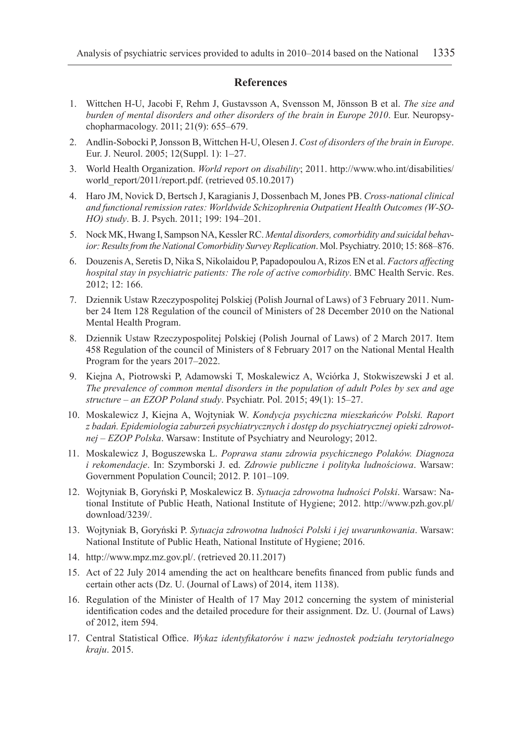#### **References**

- 1. Wittchen H-U, Jacobi F, Rehm J, Gustavsson A, Svensson M, Jönsson B et al. *The size and burden of mental disorders and other disorders of the brain in Europe 2010*. Eur. Neuropsychopharmacology. 2011; 21(9): 655–679.
- 2. Andlin-Sobocki P, Jonsson B, Wittchen H-U, Olesen J. *Cost of disorders of the brain in Europe*. Eur. J. Neurol. 2005; 12(Suppl. 1): 1–27.
- 3. World Health Organization. *World report on disability*; 2011. http://www.who.int/disabilities/ world\_report/2011/report.pdf. (retrieved 05.10.2017)
- 4. Haro JM, Novick D, Bertsch J, Karagianis J, Dossenbach M, Jones PB. *Cross-national clinical and functional remission rates: Worldwide Schizophrenia Outpatient Health Outcomes (W-SO-HO) study*. B. J. Psych. 2011; 199: 194–201.
- 5. Nock MK, Hwang I, Sampson NA, Kessler RC. *Mental disorders, comorbidity and suicidal behavior: Results from the National Comorbidity Survey Replication*. Mol. Psychiatry. 2010; 15: 868–876.
- 6. Douzenis A, Seretis D, Nika S, Nikolaidou P, Papadopoulou A, Rizos EN et al. *Factors affecting hospital stay in psychiatric patients: The role of active comorbidity*. BMC Health Servic. Res. 2012; 12: 166.
- 7. Dziennik Ustaw Rzeczypospolitej Polskiej (Polish Journal of Laws) of 3 February 2011. Number 24 Item 128 Regulation of the council of Ministers of 28 December 2010 on the National Mental Health Program.
- 8. Dziennik Ustaw Rzeczypospolitej Polskiej (Polish Journal of Laws) of 2 March 2017. Item 458 Regulation of the council of Ministers of 8 February 2017 on the National Mental Health Program for the years 2017–2022.
- 9. Kiejna A, Piotrowski P, Adamowski T, Moskalewicz A, Wciórka J, Stokwiszewski J et al. *The prevalence of common mental disorders in the population of adult Poles by sex and age structure – an EZOP Poland study*. Psychiatr. Pol. 2015; 49(1): 15–27.
- 10. Moskalewicz J, Kiejna A, Wojtyniak W. *Kondycja psychiczna mieszkańców Polski. Raport z badań. Epidemiologia zaburzeń psychiatrycznych i dostęp do psychiatrycznej opieki zdrowotnej – EZOP Polska*. Warsaw: Institute of Psychiatry and Neurology; 2012.
- 11. Moskalewicz J, Boguszewska L. *Poprawa stanu zdrowia psychicznego Polaków. Diagnoza i rekomendacje*. In: Szymborski J. ed. *Zdrowie publiczne i polityka ludnościowa*. Warsaw: Government Population Council; 2012. P. 101–109.
- 12. Wojtyniak B, Goryński P, Moskalewicz B. *Sytuacja zdrowotna ludności Polski*. Warsaw: National Institute of Public Heath, National Institute of Hygiene; 2012. http://www.pzh.gov.pl/ download/3239/.
- 13. Wojtyniak B, Goryński P. *Sytuacja zdrowotna ludności Polski i jej uwarunkowania*. Warsaw: National Institute of Public Heath, National Institute of Hygiene; 2016.
- 14. http://www.mpz.mz.gov.pl/. (retrieved 20.11.2017)
- 15. Act of 22 July 2014 amending the act on healthcare benefits financed from public funds and certain other acts (Dz. U. (Journal of Laws) of 2014, item 1138).
- 16. Regulation of the Minister of Health of 17 May 2012 concerning the system of ministerial identification codes and the detailed procedure for their assignment. Dz. U. (Journal of Laws) of 2012, item 594.
- 17. Central Statistical Office. *Wykaz identyfikatorów i nazw jednostek podziału terytorialnego kraju*. 2015.